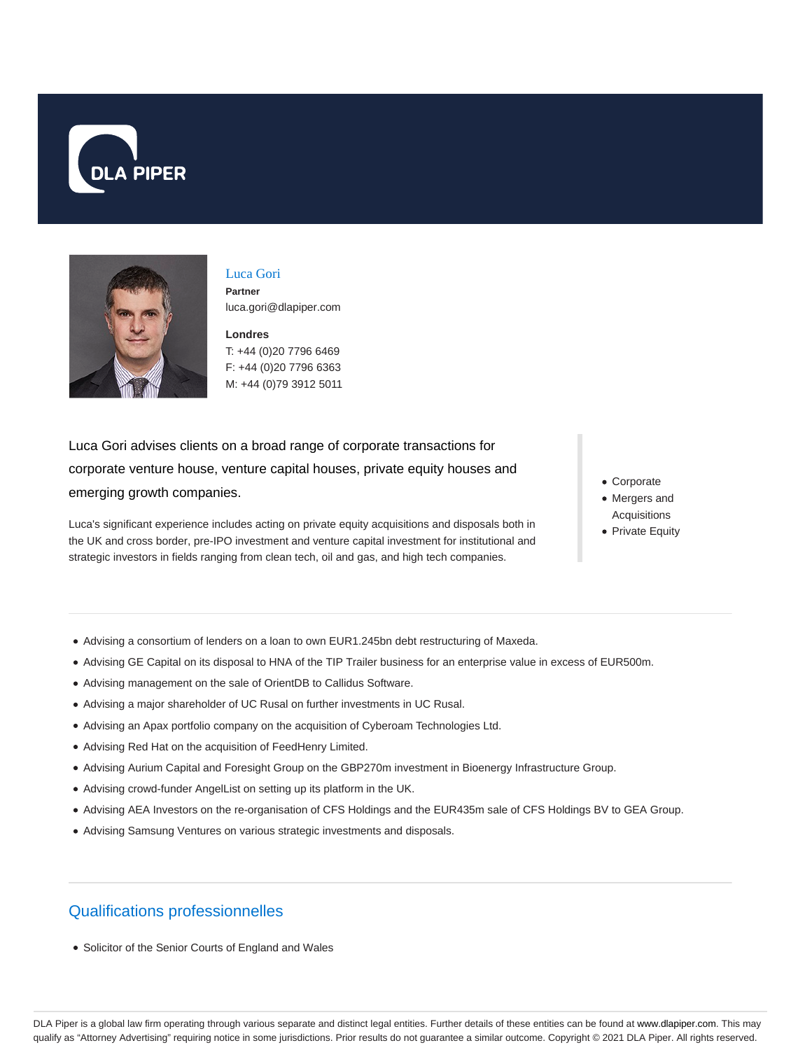



### Luca Gori

**Partner** luca.gori@dlapiper.com

**Londres** T: +44 (0)20 7796 6469 F: +44 (0)20 7796 6363 M: +44 (0)79 3912 5011

Luca Gori advises clients on a broad range of corporate transactions for corporate venture house, venture capital houses, private equity houses and emerging growth companies.

Luca's significant experience includes acting on private equity acquisitions and disposals both in the UK and cross border, pre-IPO investment and venture capital investment for institutional and strategic investors in fields ranging from clean tech, oil and gas, and high tech companies.

Corporate

- Mergers and Acquisitions
- Private Equity

- Advising a consortium of lenders on a loan to own EUR1.245bn debt restructuring of Maxeda.
- Advising GE Capital on its disposal to HNA of the TIP Trailer business for an enterprise value in excess of EUR500m.
- Advising management on the sale of OrientDB to Callidus Software.
- Advising a major shareholder of UC Rusal on further investments in UC Rusal.
- Advising an Apax portfolio company on the acquisition of Cyberoam Technologies Ltd.
- Advising Red Hat on the acquisition of FeedHenry Limited.
- Advising Aurium Capital and Foresight Group on the GBP270m investment in Bioenergy Infrastructure Group.
- Advising crowd-funder AngelList on setting up its platform in the UK.
- Advising AEA Investors on the re-organisation of CFS Holdings and the EUR435m sale of CFS Holdings BV to GEA Group.
- Advising Samsung Ventures on various strategic investments and disposals.

# Qualifications professionnelles

Solicitor of the Senior Courts of England and Wales

DLA Piper is a global law firm operating through various separate and distinct legal entities. Further details of these entities can be found at www.dlapiper.com. This may qualify as "Attorney Advertising" requiring notice in some jurisdictions. Prior results do not guarantee a similar outcome. Copyright @ 2021 DLA Piper. All rights reserved.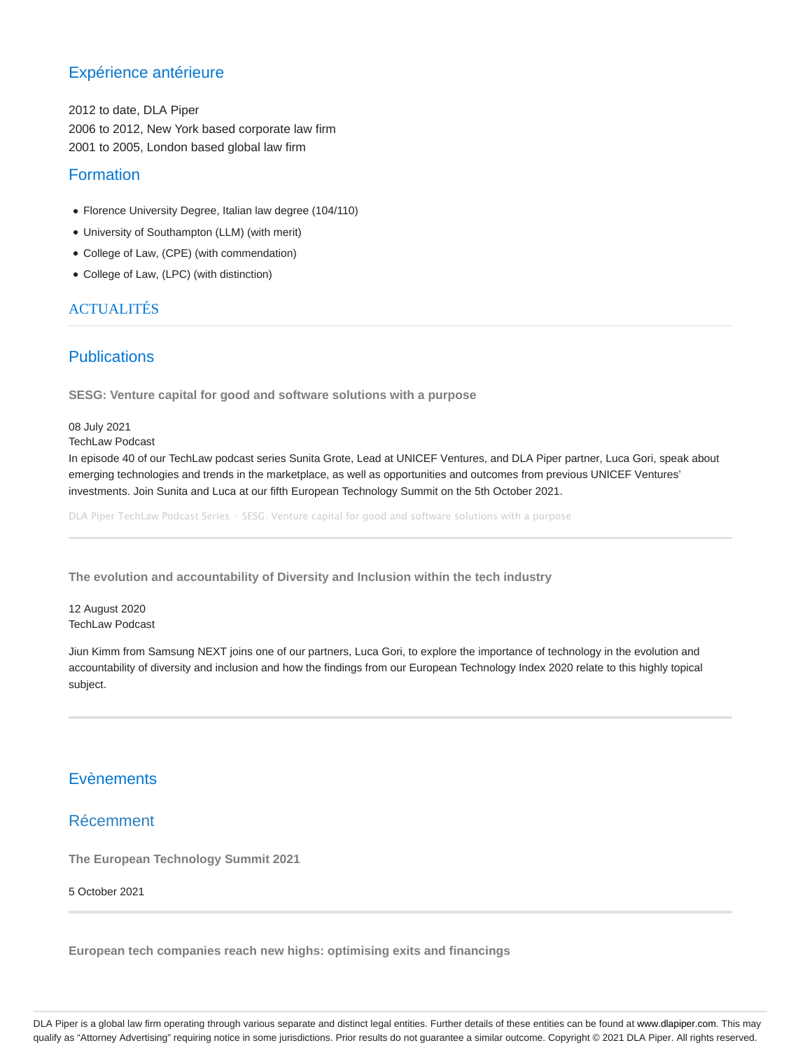# Expérience antérieure

2012 to date, DLA Piper 2006 to 2012, New York based corporate law firm 2001 to 2005, London based global law firm

### Formation

- Florence University Degree, Italian law degree (104/110)
- University of Southampton (LLM) (with merit)
- College of Law, (CPE) (with commendation)
- College of Law, (LPC) (with distinction)

# **ACTUALITÉS**

# **Publications**

**SESG: Venture capital for good and software solutions with a purpose**

### 08 July 2021

#### TechLaw Podcast

In episode 40 of our TechLaw podcast series Sunita Grote, Lead at UNICEF Ventures, and DLA Piper partner, Luca Gori, speak about emerging technologies and trends in the marketplace, as well as opportunities and outcomes from previous UNICEF Ventures' investments. Join Sunita and Luca at our fifth European Technology Summit on the 5th October 2021.

DLA Piper TechLaw Podcast Series · SESG: Venture capital for good and software solutions with a purpose

**The evolution and accountability of Diversity and Inclusion within the tech industry**

12 August 2020 TechLaw Podcast

Jiun Kimm from Samsung NEXT joins one of our partners, Luca Gori, to explore the importance of technology in the evolution and accountability of diversity and inclusion and how the findings from our European Technology Index 2020 relate to this highly topical subject.

# **Evènements**

### Récemment

**The European Technology Summit 2021**

### 5 October 2021

**European tech companies reach new highs: optimising exits and financings**

DLA Piper is a global law firm operating through various separate and distinct legal entities. Further details of these entities can be found at www.dlapiper.com. This may qualify as "Attorney Advertising" requiring notice in some jurisdictions. Prior results do not guarantee a similar outcome. Copyright @ 2021 DLA Piper. All rights reserved.